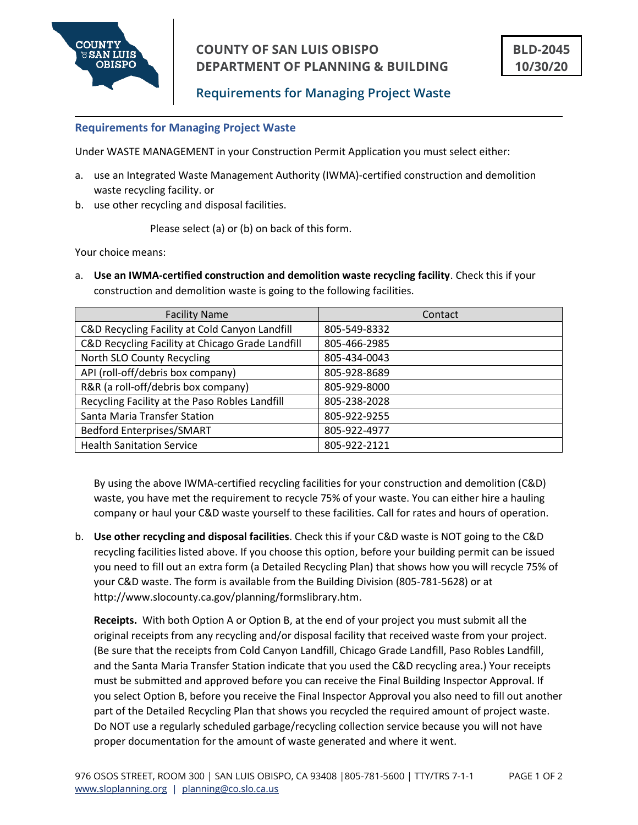

### **Requirements for Managing Project Waste**

#### **Requirements for Managing Project Waste**

Under WASTE MANAGEMENT in your Construction Permit Application you must select either:

- a. use an Integrated Waste Management Authority (IWMA)-certified construction and demolition waste recycling facility. or
- b. use other recycling and disposal facilities.

Please select (a) or (b) on back of this form.

Your choice means:

a. **Use an IWMA-certified construction and demolition waste recycling facility**. Check this if your construction and demolition waste is going to the following facilities.

| <b>Facility Name</b>                             | Contact      |
|--------------------------------------------------|--------------|
| C&D Recycling Facility at Cold Canyon Landfill   | 805-549-8332 |
| C&D Recycling Facility at Chicago Grade Landfill | 805-466-2985 |
| North SLO County Recycling                       | 805-434-0043 |
| API (roll-off/debris box company)                | 805-928-8689 |
| R&R (a roll-off/debris box company)              | 805-929-8000 |
| Recycling Facility at the Paso Robles Landfill   | 805-238-2028 |
| Santa Maria Transfer Station                     | 805-922-9255 |
| <b>Bedford Enterprises/SMART</b>                 | 805-922-4977 |
| <b>Health Sanitation Service</b>                 | 805-922-2121 |

By using the above IWMA-certified recycling facilities for your construction and demolition (C&D) waste, you have met the requirement to recycle 75% of your waste. You can either hire a hauling company or haul your C&D waste yourself to these facilities. Call for rates and hours of operation.

b. **Use other recycling and disposal facilities**. Check this if your C&D waste is NOT going to the C&D recycling facilities listed above. If you choose this option, before your building permit can be issued you need to fill out an extra form (a Detailed Recycling Plan) that shows how you will recycle 75% of your C&D waste. The form is available from the Building Division (805-781-5628) or at http://www.slocounty.ca.gov/planning/formslibrary.htm.

**Receipts.** With both Option A or Option B, at the end of your project you must submit all the original receipts from any recycling and/or disposal facility that received waste from your project. (Be sure that the receipts from Cold Canyon Landfill, Chicago Grade Landfill, Paso Robles Landfill, and the Santa Maria Transfer Station indicate that you used the C&D recycling area.) Your receipts must be submitted and approved before you can receive the Final Building Inspector Approval. If you select Option B, before you receive the Final Inspector Approval you also need to fill out another part of the Detailed Recycling Plan that shows you recycled the required amount of project waste. Do NOT use a regularly scheduled garbage/recycling collection service because you will not have proper documentation for the amount of waste generated and where it went.